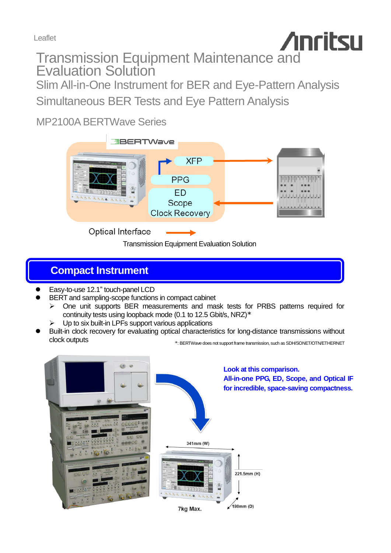Leaflet

**Anritsu** Transmission Equipment Maintenance and **Evaluation Solution** 

Slim All-in-One Instrument for BER and Eye-Pattern Analysis Simultaneous BER Tests and Eye Pattern Analysis

MP2100A BERTWave Series



Transmission Equipment Evaluation Solution

## **Compact Instrument**

- Easy-to-use 12.1" touch-panel LCD
- BERT and sampling-scope functions in compact cabinet
	- One unit supports BER measurements and mask tests for PRBS patterns required for continuity tests using loopback mode (0.1 to 12.5 Gbit/s, NRZ)\*
	- Up to six built-in LPFs support various applications
- Built-in clock recovery for evaluating optical characteristics for long-distance transmissions without clock outputs

\*: BERTWave does not support frame transmission, such as SDH/SONET/OTN/ETHERNET